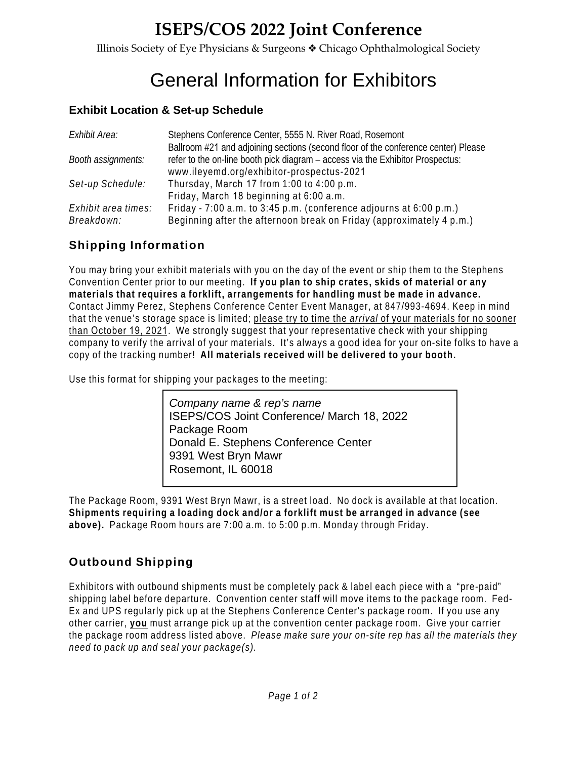## **ISEPS/COS 2022 Joint Conference**

Illinois Society of Eye Physicians & Surgeons ˜ Chicago Ophthalmological Society

# General Information for Exhibitors

### **Exhibit Location & Set-up Schedule**

| Exhibit Area:       | Stephens Conference Center, 5555 N. River Road, Rosemont                                                                                                             |
|---------------------|----------------------------------------------------------------------------------------------------------------------------------------------------------------------|
| Booth assignments:  | Ballroom #21 and adjoining sections (second floor of the conference center) Please<br>refer to the on-line booth pick diagram – access via the Exhibitor Prospectus: |
|                     | www.ileyemd.org/exhibitor-prospectus-2021                                                                                                                            |
| Set-up Schedule:    | Thursday, March 17 from 1:00 to 4:00 p.m.                                                                                                                            |
|                     | Friday, March 18 beginning at 6:00 a.m.                                                                                                                              |
| Exhibit area times: | Friday - 7:00 a.m. to 3:45 p.m. (conference adjourns at 6:00 p.m.)                                                                                                   |
| Breakdown:          | Beginning after the afternoon break on Friday (approximately 4 p.m.)                                                                                                 |

## **Shipping Information**

You may bring your exhibit materials with you on the day of the event or ship them to the Stephens Convention Center prior to our meeting. **If you plan to ship crates, skids of material or any materials that requires a forklift, arrangements for handling must be made in advance.**  Contact Jimmy Perez, Stephens Conference Center Event Manager, at 847/993-4694. Keep in mind that the venue's storage space is limited; please try to time the *arrival* of your materials for no sooner than October 19, 2021. We strongly suggest that your representative check with your shipping company to verify the arrival of your materials. It's always a good idea for your on-site folks to have a copy of the tracking number! **All materials received will be delivered to your booth.**

Use this format for shipping your packages to the meeting:

*Company name & rep's name* ISEPS/COS Joint Conference/ March 18, 2022 Package Room Donald E. Stephens Conference Center 9391 West Bryn Mawr Rosemont, IL 60018

The Package Room, 9391 West Bryn Mawr, is a street load. No dock is available at that location. **Shipments requiring a loading dock and/or a forklift must be arranged in advance (see above).** Package Room hours are 7:00 a.m. to 5:00 p.m. Monday through Friday.

## **Outbound Shipping**

Exhibitors with outbound shipments must be completely pack & label each piece with a "pre-paid" shipping label before departure. Convention center staff will move items to the package room. Fed-Ex and UPS regularly pick up at the Stephens Conference Center's package room. If you use any other carrier, **you** must arrange pick up at the convention center package room. Give your carrier the package room address listed above. *Please make sure your on-site rep has all the materials they need to pack up and seal your package(s).*